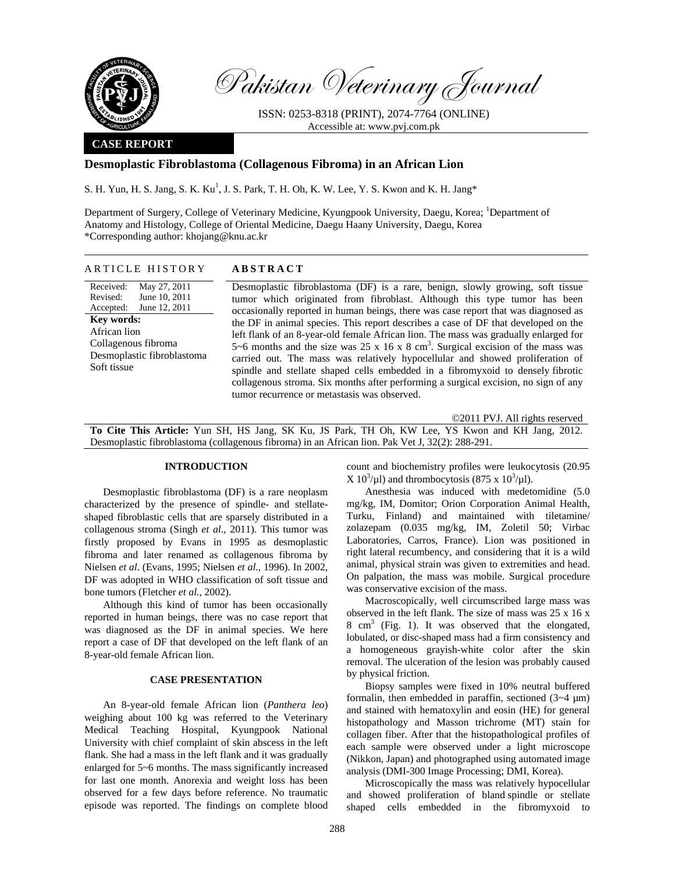

Pakistan Veterinary Journal

ISSN: 0253-8318 (PRINT), 2074-7764 (ONLINE) Accessible at: www.pvj.com.pk

### **CASE REPORT**

## **Desmoplastic Fibroblastoma (Collagenous Fibroma) in an African Lion**

S. H. Yun, H. S. Jang, S. K. Ku<sup>1</sup>, J. S. Park, T. H. Oh, K. W. Lee, Y. S. Kwon and K. H. Jang\*

Department of Surgery, College of Veterinary Medicine, Kyungpook University, Daegu, Korea; <sup>1</sup>Department of Anatomy and Histology, College of Oriental Medicine, Daegu Haany University, Daegu, Korea \*Corresponding author: khojang@knu.ac.kr

### ARTICLE HISTORY **ABSTRACT**

Received: Revised: Accepted: May 27, 2011 June 10, 2011 June 12, 2011 **Key words:**  African lion Collagenous fibroma Desmoplastic fibroblastoma Soft tissue

Desmoplastic fibroblastoma (DF) is a rare, benign, slowly growing, soft tissue tumor which originated from fibroblast. Although this type tumor has been occasionally reported in human beings, there was case report that was diagnosed as the DF in animal species. This report describes a case of DF that developed on the left flank of an 8-year-old female African lion. The mass was gradually enlarged for 5~6 months and the size was 25 x 16 x 8 cm<sup>3</sup>. Surgical excision of the mass was carried out. The mass was relatively hypocellular and showed proliferation of spindle and stellate shaped cells embedded in a fibromyxoid to densely fibrotic collagenous stroma. Six months after performing a surgical excision, no sign of any tumor recurrence or metastasis was observed.

©2011 PVJ. All rights reserved

**To Cite This Article:** Yun SH, HS Jang, SK Ku, JS Park, TH Oh, KW Lee, YS Kwon and KH Jang, 2012. Desmoplastic fibroblastoma (collagenous fibroma) in an African lion. Pak Vet J, 32(2): 288-291.

# **INTRODUCTION**

Desmoplastic fibroblastoma (DF) is a rare neoplasm characterized by the presence of spindle- and stellateshaped fibroblastic cells that are sparsely distributed in a collagenous stroma (Singh *et al*., 2011). This tumor was firstly proposed by Evans in 1995 as desmoplastic fibroma and later renamed as collagenous fibroma by Nielsen *et al*. (Evans, 1995; Nielsen *et al.*, 1996). In 2002, DF was adopted in WHO classification of soft tissue and bone tumors (Fletcher *et al.*, 2002).

Although this kind of tumor has been occasionally reported in human beings, there was no case report that was diagnosed as the DF in animal species. We here report a case of DF that developed on the left flank of an 8-year-old female African lion.

### **CASE PRESENTATION**

An 8-year-old female African lion (*Panthera leo*) weighing about 100 kg was referred to the Veterinary Medical Teaching Hospital, Kyungpook National University with chief complaint of skin abscess in the left flank. She had a mass in the left flank and it was gradually enlarged for 5~6 months. The mass significantly increased for last one month. Anorexia and weight loss has been observed for a few days before reference. No traumatic episode was reported. The findings on complete blood count and biochemistry profiles were leukocytosis (20.95  $X 10^3/\mu l$ ) and thrombocytosis (875 x 10<sup>3</sup>/ $\mu$ l).

Anesthesia was induced with medetomidine (5.0 mg/kg, IM, Domitor; Orion Corporation Animal Health, Turku, Finland) and maintained with tiletamine/ zolazepam (0.035 mg/kg, IM, Zoletil 50; Virbac Laboratories, Carros, France). Lion was positioned in right lateral recumbency, and considering that it is a wild animal, physical strain was given to extremities and head. On palpation, the mass was mobile. Surgical procedure was conservative excision of the mass.

Macroscopically, well circumscribed large mass was observed in the left flank. The size of mass was 25 x 16 x  $8 \text{ cm}^3$  (Fig. 1). It was observed that the elongated, lobulated, or disc-shaped mass had a firm consistency and a homogeneous grayish-white color after the skin removal. The ulceration of the lesion was probably caused by physical friction.

Biopsy samples were fixed in 10% neutral buffered formalin, then embedded in paraffin, sectioned  $(3-4 \mu m)$ and stained with hematoxylin and eosin (HE) for general histopathology and Masson trichrome (MT) stain for collagen fiber. After that the histopathological profiles of each sample were observed under a light microscope (Nikkon, Japan) and photographed using automated image analysis (DMI-300 Image Processing; DMI, Korea).

Microscopically the mass was relatively hypocellular and showed proliferation of bland spindle or stellate shaped cells embedded in the fibromyxoid to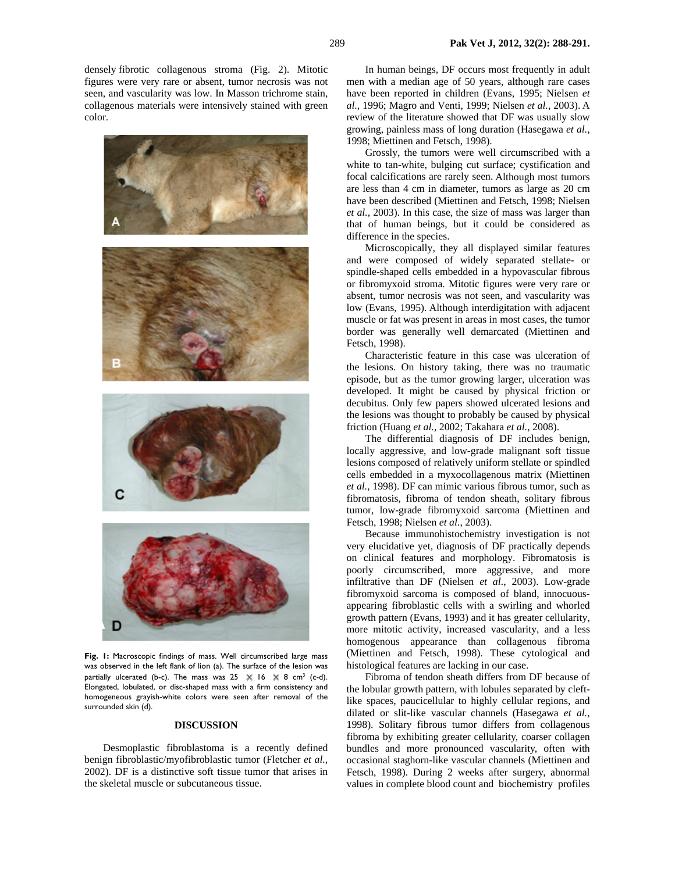densely fibrotic collagenous stroma (Fig. 2). Mitotic figures were very rare or absent, tumor necrosis was not seen, and vascularity was low. In Masson trichrome stain, collagenous materials were intensively stained with green color.



**Fig. 1:** Macroscopic findings of mass. Well circumscribed large mass was observed in the left flank of lion (a). The surface of the lesion was partially ulcerated (b-c). The mass was  $25 \times 16 \times 8$  cm<sup>3</sup> (c-d). Elongated, lobulated, or disc-shaped mass with a firm consistency and homogeneous grayish-white colors were seen after removal of the surrounded skin (d).

### **DISCUSSION**

Desmoplastic fibroblastoma is a recently defined benign fibroblastic/myofibroblastic tumor (Fletcher *et al.*, 2002). DF is a distinctive soft tissue tumor that arises in the skeletal muscle or subcutaneous tissue.

In human beings, DF occurs most frequently in adult men with a median age of 50 years, although rare cases have been reported in children (Evans, 1995; Nielsen *et al.*, 1996; Magro and Venti, 1999; Nielsen *et al.*, 2003). A review of the literature showed that DF was usually slow growing, painless mass of long duration (Hasegawa *et al.*, 1998; Miettinen and Fetsch, 1998).

Grossly, the tumors were well circumscribed with a white to tan-white, bulging cut surface; cystification and focal calcifications are rarely seen. Although most tumors are less than 4 cm in diameter, tumors as large as 20 cm have been described (Miettinen and Fetsch, 1998; Nielsen *et al.*, 2003). In this case, the size of mass was larger than that of human beings, but it could be considered as difference in the species.

Microscopically, they all displayed similar features and were composed of widely separated stellate- or spindle-shaped cells embedded in a hypovascular fibrous or fibromyxoid stroma. Mitotic figures were very rare or absent, tumor necrosis was not seen, and vascularity was low (Evans, 1995). Although interdigitation with adjacent muscle or fat was present in areas in most cases, the tumor border was generally well demarcated (Miettinen and Fetsch, 1998).

Characteristic feature in this case was ulceration of the lesions. On history taking, there was no traumatic episode, but as the tumor growing larger, ulceration was developed. It might be caused by physical friction or decubitus. Only few papers showed ulcerated lesions and the lesions was thought to probably be caused by physical friction (Huang *et al.*, 2002; Takahara *et al.*, 2008).

The differential diagnosis of DF includes benign, locally aggressive, and low-grade malignant soft tissue lesions composed of relatively uniform stellate or spindled cells embedded in a myxocollagenous matrix (Miettinen *et al.*, 1998). DF can mimic various fibrous tumor, such as fibromatosis, fibroma of tendon sheath, solitary fibrous tumor, low-grade fibromyxoid sarcoma (Miettinen and Fetsch, 1998; Nielsen *et al.*, 2003).

Because immunohistochemistry investigation is not very elucidative yet, diagnosis of DF practically depends on clinical features and morphology. Fibromatosis is poorly circumscribed, more aggressive, and more infiltrative than DF (Nielsen *et al.*, 2003). Low-grade fibromyxoid sarcoma is composed of bland, innocuousappearing fibroblastic cells with a swirling and whorled growth pattern (Evans, 1993) and it has greater cellularity, more mitotic activity, increased vascularity, and a less homogenous appearance than collagenous fibroma (Miettinen and Fetsch, 1998). These cytological and histological features are lacking in our case.

Fibroma of tendon sheath differs from DF because of the lobular growth pattern, with lobules separated by cleftlike spaces, paucicellular to highly cellular regions, and dilated or slit-like vascular channels (Hasegawa *et al.*, 1998). Solitary fibrous tumor differs from collagenous fibroma by exhibiting greater cellularity, coarser collagen bundles and more pronounced vascularity, often with occasional staghorn-like vascular channels (Miettinen and Fetsch, 1998). During 2 weeks after surgery, abnormal values in complete blood count and biochemistry profiles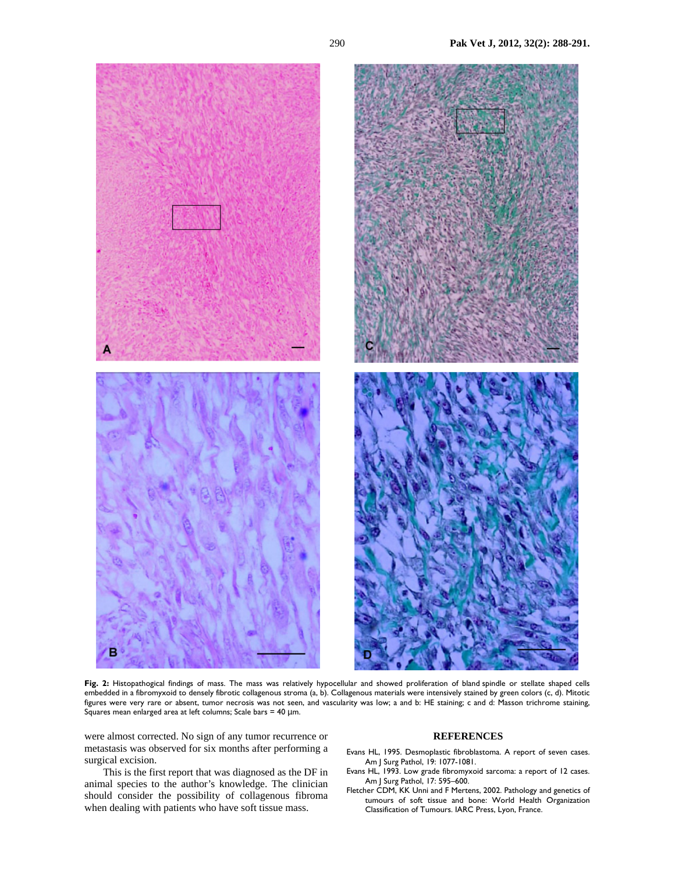

**Fig. 2:** Histopathogical findings of mass. The mass was relatively hypocellular and showed proliferation of bland spindle or stellate shaped cells embedded in a fibromyxoid to densely fibrotic collagenous stroma (a, b). Collagenous materials were intensively stained by green colors (c, d). Mitotic figures were very rare or absent, tumor necrosis was not seen, and vascularity was low; a and b: HE staining; c and d: Masson trichrome staining, Squares mean enlarged area at left columns; Scale bars = 40 µm.

were almost corrected. No sign of any tumor recurrence or metastasis was observed for six months after performing a surgical excision.

This is the first report that was diagnosed as the DF in animal species to the author's knowledge. The clinician should consider the possibility of collagenous fibroma when dealing with patients who have soft tissue mass.

### **REFERENCES**

- Evans HL, 1995. Desmoplastic fibroblastoma. A report of seven cases. Am J Surg Pathol, 19: 1077-1081.
- Evans HL, 1993. Low grade fibromyxoid sarcoma: a report of 12 cases. Am J Surg Pathol, 17: 595–600.
- Fletcher CDM, KK Unni and F Mertens, 2002. Pathology and genetics of tumours of soft tissue and bone: World Health Organization Classification of Tumours. IARC Press, Lyon, France.